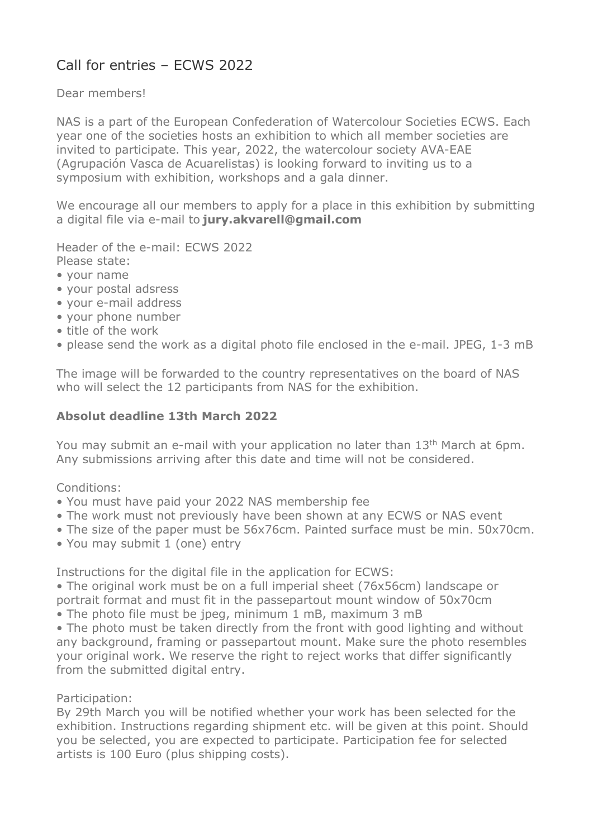# Call for entries – ECWS 2022

Dear members!

NAS is a part of the European Confederation of Watercolour Societies ECWS. Each year one of the societies hosts an exhibition to which all member societies are invited to participate. This year, 2022, the watercolour society AVA-EAE (Agrupación Vasca de Acuarelistas) is looking forward to inviting us to a symposium with exhibition, workshops and a gala dinner.

We encourage all our members to apply for a place in this exhibition by submitting a digital file via e-mail to jury.akvarell@gmail.com

Header of the e-mail: ECWS 2022 Please state:

- 
- your name
- your postal adsress
- your e-mail address
- your phone number
- title of the work
- please send the work as a digital photo file enclosed in the e-mail. JPEG, 1-3 mB

The image will be forwarded to the country representatives on the board of NAS who will select the 12 participants from NAS for the exhibition.

### Absolut deadline 13th March 2022

You may submit an e-mail with your application no later than 13<sup>th</sup> March at 6pm. Any submissions arriving after this date and time will not be considered.

Conditions:

- You must have paid your 2022 NAS membership fee
- The work must not previously have been shown at any ECWS or NAS event
- The size of the paper must be 56x76cm. Painted surface must be min. 50x70cm.
- You may submit 1 (one) entry

Instructions for the digital file in the application for ECWS:

• The original work must be on a full imperial sheet (76x56cm) landscape or portrait format and must fit in the passepartout mount window of 50x70cm

• The photo file must be jpeg, minimum 1 mB, maximum 3 mB

• The photo must be taken directly from the front with good lighting and without any background, framing or passepartout mount. Make sure the photo resembles your original work. We reserve the right to reject works that differ significantly from the submitted digital entry.

Participation:

By 29th March you will be notified whether your work has been selected for the exhibition. Instructions regarding shipment etc. will be given at this point. Should you be selected, you are expected to participate. Participation fee for selected artists is 100 Euro (plus shipping costs).